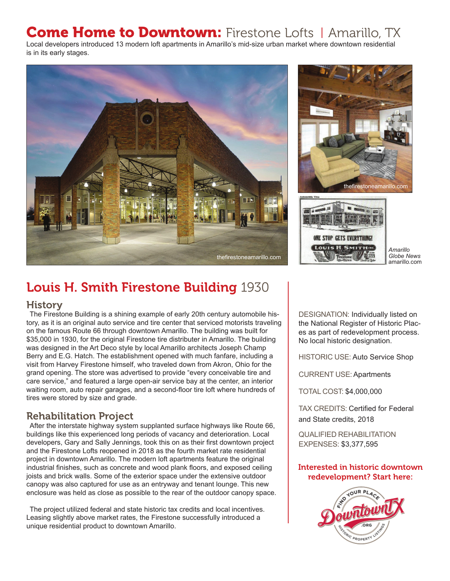# **Come Home to Downtown:** Firestone Lofts | Amarillo, TX

Local developers introduced 13 modern loft apartments in Amarillo's mid-size urban market where downtown residential is in its early stages.





*Globe News* amarillo.com

# Louis H. Smith Firestone Building 1930

### History

The Firestone Building is a shining example of early 20th century automobile history, as it is an original auto service and tire center that serviced motorists traveling on the famous Route 66 through downtown Amarillo. The building was built for \$35,000 in 1930, for the original Firestone tire distributer in Amarillo. The building was designed in the Art Deco style by local Amarillo architects Joseph Champ Berry and E.G. Hatch. The establishment opened with much fanfare, including a visit from Harvey Firestone himself, who traveled down from Akron, Ohio for the grand opening. The store was advertised to provide "every conceivable tire and care service," and featured a large open-air service bay at the center, an interior waiting room, auto repair garages, and a second-floor tire loft where hundreds of tires were stored by size and grade.

## Rehabilitation Project

After the interstate highway system supplanted surface highways like Route 66, buildings like this experienced long periods of vacancy and deterioration. Local developers, Gary and Sally Jennings, took this on as their first downtown project and the Firestone Lofts reopened in 2018 as the fourth market rate residential project in downtown Amarillo. The modern loft apartments feature the original industrial finishes, such as concrete and wood plank floors, and exposed ceiling joists and brick walls. Some of the exterior space under the extensive outdoor canopy was also captured for use as an entryway and tenant lounge. This new enclosure was held as close as possible to the rear of the outdoor canopy space.

The project utilized federal and state historic tax credits and local incentives. Leasing slightly above market rates, the Firestone successfully introduced a unique residential product to downtown Amarillo.

DESIGNATION: Individually listed on the National Register of Historic Places as part of redevelopment process. No local historic designation.

HISTORIC USE: Auto Service Shop

CURRENT USE: Apartments

TOTAL COST: \$4,000,000

TAX CREDITS: Certified for Federal and State credits, 2018

QUALIFIED REHABILITATION EXPENSES: \$3,377,595

### Interested in historic downtown redevelopment? Start here: